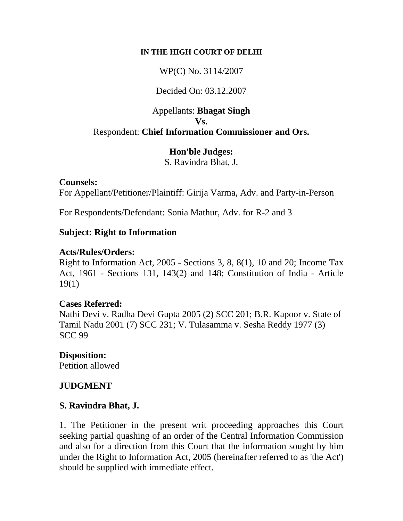#### **IN THE HIGH COURT OF DELHI**

WP(C) No. 3114/2007

### Decided On: 03.12.2007

### Appellants: **Bhagat Singh Vs.** Respondent: **Chief Information Commissioner and Ors.**

# **Hon'ble Judges:**

S. Ravindra Bhat, J.

### **Counsels:**

For Appellant/Petitioner/Plaintiff: Girija Varma, Adv. and Party-in-Person

For Respondents/Defendant: Sonia Mathur, Adv. for R-2 and 3

### **Subject: Right to Information**

### **Acts/Rules/Orders:**

Right to Information Act, 2005 - Sections 3, 8, 8(1), 10 and 20; Income Tax Act, 1961 - Sections 131, 143(2) and 148; Constitution of India - Article 19(1)

### **Cases Referred:**

Nathi Devi v. Radha Devi Gupta 2005 (2) SCC 201; B.R. Kapoor v. State of Tamil Nadu 2001 (7) SCC 231; V. Tulasamma v. Sesha Reddy 1977 (3) SCC 99

## **Disposition:**

Petition allowed

## **JUDGMENT**

## **S. Ravindra Bhat, J.**

1. The Petitioner in the present writ proceeding approaches this Court seeking partial quashing of an order of the Central Information Commission and also for a direction from this Court that the information sought by him under the Right to Information Act, 2005 (hereinafter referred to as 'the Act') should be supplied with immediate effect.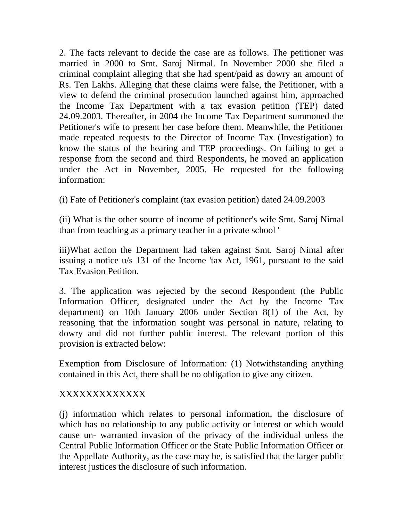2. The facts relevant to decide the case are as follows. The petitioner was married in 2000 to Smt. Saroj Nirmal. In November 2000 she filed a criminal complaint alleging that she had spent/paid as dowry an amount of Rs. Ten Lakhs. Alleging that these claims were false, the Petitioner, with a view to defend the criminal prosecution launched against him, approached the Income Tax Department with a tax evasion petition (TEP) dated 24.09.2003. Thereafter, in 2004 the Income Tax Department summoned the Petitioner's wife to present her case before them. Meanwhile, the Petitioner made repeated requests to the Director of Income Tax (Investigation) to know the status of the hearing and TEP proceedings. On failing to get a response from the second and third Respondents, he moved an application under the Act in November, 2005. He requested for the following information:

(i) Fate of Petitioner's complaint (tax evasion petition) dated 24.09.2003

(ii) What is the other source of income of petitioner's wife Smt. Saroj Nimal than from teaching as a primary teacher in a private school '

iii)What action the Department had taken against Smt. Saroj Nimal after issuing a notice u/s 131 of the Income 'tax Act, 1961, pursuant to the said Tax Evasion Petition.

3. The application was rejected by the second Respondent (the Public Information Officer, designated under the Act by the Income Tax department) on 10th January 2006 under Section [8\(1\)](javascript:fnOpenGlobalPopUp() of the Act, by reasoning that the information sought was personal in nature, relating to dowry and did not further public interest. The relevant portion of this provision is extracted below:

Exemption from Disclosure of Information: (1) Notwithstanding anything contained in this Act, there shall be no obligation to give any citizen.

## XXXXXXXXXXXXX

(j) information which relates to personal information, the disclosure of which has no relationship to any public activity or interest or which would cause un- warranted invasion of the privacy of the individual unless the Central Public Information Officer or the State Public Information Officer or the Appellate Authority, as the case may be, is satisfied that the larger public interest justices the disclosure of such information.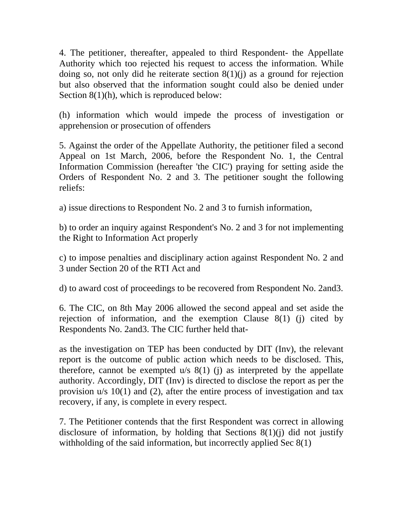4. The petitioner, thereafter, appealed to third Respondent- the Appellate Authority which too rejected his request to access the information. While doing so, not only did he reiterate section  $8(1)(j)$  as a ground for rejection but also observed that the information sought could also be denied under Section [8\(1\)\(h\)](javascript:fnOpenGlobalPopUp(), which is reproduced below:

(h) information which would impede the process of investigation or apprehension or prosecution of offenders

5. Against the order of the Appellate Authority, the petitioner filed a second Appeal on 1st March, 2006, before the Respondent No. 1, the Central Information Commission (hereafter 'the CIC') praying for setting aside the Orders of Respondent No. 2 and 3. The petitioner sought the following reliefs:

a) issue directions to Respondent No. 2 and 3 to furnish information,

b) to order an inquiry against Respondent's No. 2 and 3 for not implementing the Right to Information Act properly

c) to impose penalties and disciplinary action against Respondent No. 2 and 3 under Section [20](javascript:fnOpenGlobalPopUp() of the RTI Act and

d) to award cost of proceedings to be recovered from Respondent No. 2and3.

6. The CIC, on 8th May 2006 allowed the second appeal and set aside the rejection of information, and the exemption Clause 8(1) (j) cited by Respondents No. 2and3. The CIC further held that-

as the investigation on TEP has been conducted by DIT (Inv), the relevant report is the outcome of public action which needs to be disclosed. This, therefore, cannot be exempted  $u/s$  8(1) (j) as interpreted by the appellate authority. Accordingly, DIT (Inv) is directed to disclose the report as per the provision u/s 10(1) and (2), after the entire process of investigation and tax recovery, if any, is complete in every respect.

7. The Petitioner contends that the first Respondent was correct in allowing disclosure of information, by holding that Sections  $8(1)(i)$  did not justify withholding of the said information, but incorrectly applied Sec 8(1)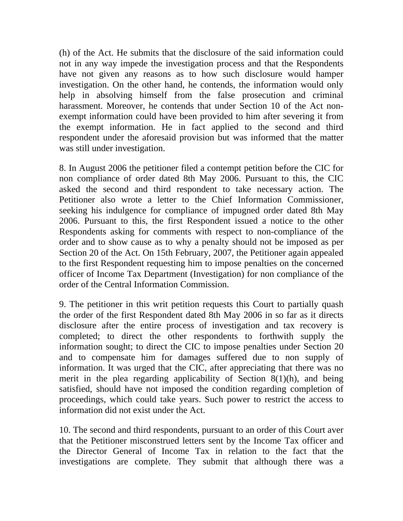(h) of the Act. He submits that the disclosure of the said information could not in any way impede the investigation process and that the Respondents have not given any reasons as to how such disclosure would hamper investigation. On the other hand, he contends, the information would only help in absolving himself from the false prosecution and criminal harassment. Moreover, he contends that under Section [10](javascript:fnOpenGlobalPopUp() of the Act nonexempt information could have been provided to him after severing it from the exempt information. He in fact applied to the second and third respondent under the aforesaid provision but was informed that the matter was still under investigation.

8. In August 2006 the petitioner filed a contempt petition before the CIC for non compliance of order dated 8th May 2006. Pursuant to this, the CIC asked the second and third respondent to take necessary action. The Petitioner also wrote a letter to the Chief Information Commissioner, seeking his indulgence for compliance of impugned order dated 8th May 2006. Pursuant to this, the first Respondent issued a notice to the other Respondents asking for comments with respect to non-compliance of the order and to show cause as to why a penalty should not be imposed as per Section [20](javascript:fnOpenGlobalPopUp() of the Act. On 15th February, 2007, the Petitioner again appealed to the first Respondent requesting him to impose penalties on the concerned officer of Income Tax Department (Investigation) for non compliance of the order of the Central Information Commission.

9. The petitioner in this writ petition requests this Court to partially quash the order of the first Respondent dated 8th May 2006 in so far as it directs disclosure after the entire process of investigation and tax recovery is completed; to direct the other respondents to forthwith supply the information sought; to direct the CIC to impose penalties under Section [20](javascript:fnOpenGlobalPopUp() and to compensate him for damages suffered due to non supply of information. It was urged that the CIC, after appreciating that there was no merit in the plea regarding applicability of Section [8\(1\)\(h\)](javascript:fnOpenGlobalPopUp(), and being satisfied, should have not imposed the condition regarding completion of proceedings, which could take years. Such power to restrict the access to information did not exist under the Act.

10. The second and third respondents, pursuant to an order of this Court aver that the Petitioner misconstrued letters sent by the Income Tax officer and the Director General of Income Tax in relation to the fact that the investigations are complete. They submit that although there was a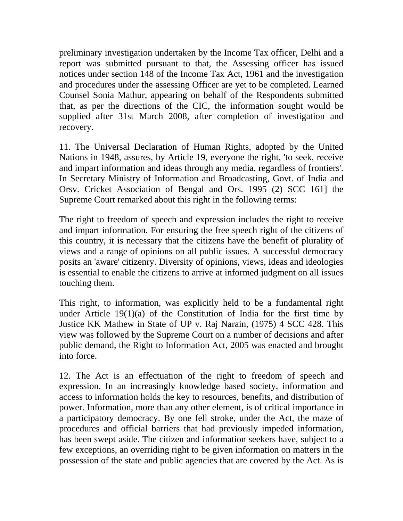preliminary investigation undertaken by the Income Tax officer, Delhi and a report was submitted pursuant to that, the Assessing officer has issued notices under section [148](javascript:fnOpenGlobalPopUp() of the Income Tax Act, 1961 and the investigation and procedures under the assessing Officer are yet to be completed. Learned Counsel Sonia Mathur, appearing on behalf of the Respondents submitted that, as per the directions of the CIC, the information sought would be supplied after 31st March 2008, after completion of investigation and recovery.

11. The Universal Declaration of Human Rights, adopted by the United Nations in 1948, assures, by Article [19](javascript:fnOpenGlobalPopUp(), everyone the right, 'to seek, receive and impart information and ideas through any media, regardless of frontiers'. In Secretary Ministry of Information and Broadcasting, Govt. of India and Orsv. Cricket Association of Bengal and Ors. 1995 (2) SCC 161] the Supreme Court remarked about this right in the following terms:

The right to freedom of speech and expression includes the right to receive and impart information. For ensuring the free speech right of the citizens of this country, it is necessary that the citizens have the benefit of plurality of views and a range of opinions on all public issues. A successful democracy posits an 'aware' citizenry. Diversity of opinions, views, ideas and ideologies is essential to enable the citizens to arrive at informed judgment on all issues touching them.

This right, to information, was explicitly held to be a fundamental right under Article  $19(1)(a)$  of the Constitution of India for the first time by Justice KK Mathew in State of UP v. Raj Narain, (1975) 4 SCC 428. This view was followed by the Supreme Court on a number of decisions and after public demand, the Right to Information Act, 2005 was enacted and brought into force.

12. The Act is an effectuation of the right to freedom of speech and expression. In an increasingly knowledge based society, information and access to information holds the key to resources, benefits, and distribution of power. Information, more than any other element, is of critical importance in a participatory democracy. By one fell stroke, under the Act, the maze of procedures and official barriers that had previously impeded information, has been swept aside. The citizen and information seekers have, subject to a few exceptions, an overriding right to be given information on matters in the possession of the state and public agencies that are covered by the Act. As is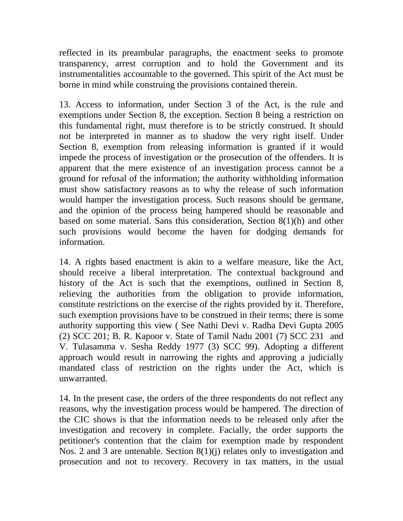reflected in its preambular paragraphs, the enactment seeks to promote transparency, arrest corruption and to hold the Government and its instrumentalities accountable to the governed. This spirit of the Act must be borne in mind while construing the provisions contained therein.

13. Access to information, under Section [3](javascript:fnOpenGlobalPopUp() of the Act, is the rule and exemptions under Section [8](javascript:fnOpenGlobalPopUp(), the exception. Section [8](javascript:fnOpenGlobalPopUp() being a restriction on this fundamental right, must therefore is to be strictly construed. It should not be interpreted in manner as to shadow the very right itself. Under Section [8](javascript:fnOpenGlobalPopUp(), exemption from releasing information is granted if it would impede the process of investigation or the prosecution of the offenders. It is apparent that the mere existence of an investigation process cannot be a ground for refusal of the information; the authority withholding information must show satisfactory reasons as to why the release of such information would hamper the investigation process. Such reasons should be germane, and the opinion of the process being hampered should be reasonable and based on some material. Sans this consideration, Section [8\(1\)\(h\)](javascript:fnOpenGlobalPopUp() and other such provisions would become the haven for dodging demands for information.

14. A rights based enactment is akin to a welfare measure, like the Act, should receive a liberal interpretation. The contextual background and history of the Act is such that the exemptions, outlined in Section [8](javascript:fnOpenGlobalPopUp(), relieving the authorities from the obligation to provide information, constitute restrictions on the exercise of the rights provided by it. Therefore, such exemption provisions have to be construed in their terms; there is some authority supporting this view ( See Nathi Devi v. Radha Devi Gupta 2005 (2) SCC 201; B. R. Kapoor v. State of Tamil Nadu 2001 (7) SCC 231 and V. Tulasamma v. Sesha Reddy 1977 (3) SCC 99). Adopting a different approach would result in narrowing the rights and approving a judicially mandated class of restriction on the rights under the Act, which is unwarranted.

14. In the present case, the orders of the three respondents do not reflect any reasons, why the investigation process would be hampered. The direction of the CIC shows is that the information needs to be released only after the investigation and recovery in complete. Facially, the order supports the petitioner's contention that the claim for exemption made by respondent Nos. 2 and 3 are untenable. Section [8\(1\)\(j\)](javascript:fnOpenGlobalPopUp() relates only to investigation and prosecution and not to recovery. Recovery in tax matters, in the usual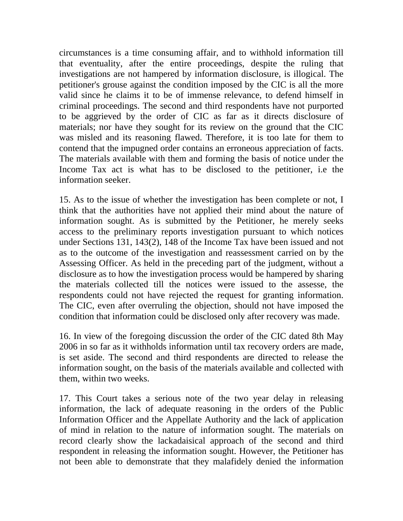circumstances is a time consuming affair, and to withhold information till that eventuality, after the entire proceedings, despite the ruling that investigations are not hampered by information disclosure, is illogical. The petitioner's grouse against the condition imposed by the CIC is all the more valid since he claims it to be of immense relevance, to defend himself in criminal proceedings. The second and third respondents have not purported to be aggrieved by the order of CIC as far as it directs disclosure of materials; nor have they sought for its review on the ground that the CIC was misled and its reasoning flawed. Therefore, it is too late for them to contend that the impugned order contains an erroneous appreciation of facts. The materials available with them and forming the basis of notice under the Income Tax act is what has to be disclosed to the petitioner, i.e the information seeker.

15. As to the issue of whether the investigation has been complete or not, I think that the authorities have not applied their mind about the nature of information sought. As is submitted by the Petitioner, he merely seeks access to the preliminary reports investigation pursuant to which notices under Sections [131,](javascript:fnOpenGlobalPopUp() [143\(2\)](javascript:fnOpenGlobalPopUp(), [148](javascript:fnOpenGlobalPopUp() of the Income Tax have been issued and not as to the outcome of the investigation and reassessment carried on by the Assessing Officer. As held in the preceding part of the judgment, without a disclosure as to how the investigation process would be hampered by sharing the materials collected till the notices were issued to the assesse, the respondents could not have rejected the request for granting information. The CIC, even after overruling the objection, should not have imposed the condition that information could be disclosed only after recovery was made.

16. In view of the foregoing discussion the order of the CIC dated 8th May 2006 in so far as it withholds information until tax recovery orders are made, is set aside. The second and third respondents are directed to release the information sought, on the basis of the materials available and collected with them, within two weeks.

17. This Court takes a serious note of the two year delay in releasing information, the lack of adequate reasoning in the orders of the Public Information Officer and the Appellate Authority and the lack of application of mind in relation to the nature of information sought. The materials on record clearly show the lackadaisical approach of the second and third respondent in releasing the information sought. However, the Petitioner has not been able to demonstrate that they malafidely denied the information